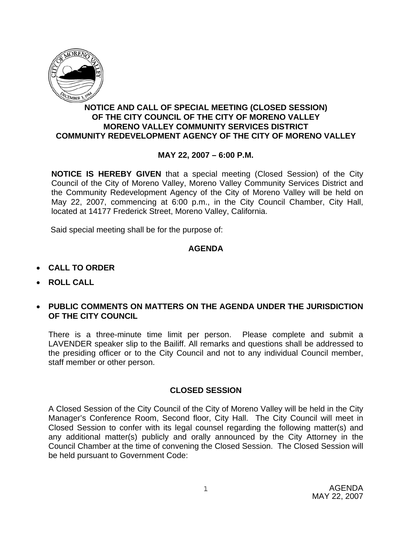

# **NOTICE AND CALL OF SPECIAL MEETING (CLOSED SESSION) OF THE CITY COUNCIL OF THE CITY OF MORENO VALLEY MORENO VALLEY COMMUNITY SERVICES DISTRICT COMMUNITY REDEVELOPMENT AGENCY OF THE CITY OF MORENO VALLEY**

# **MAY 22, 2007 – 6:00 P.M.**

**NOTICE IS HEREBY GIVEN** that a special meeting (Closed Session) of the City Council of the City of Moreno Valley, Moreno Valley Community Services District and the Community Redevelopment Agency of the City of Moreno Valley will be held on May 22, 2007, commencing at 6:00 p.m., in the City Council Chamber, City Hall, located at 14177 Frederick Street, Moreno Valley, California.

Said special meeting shall be for the purpose of:

### **AGENDA**

- **CALL TO ORDER**
- **ROLL CALL**
- **PUBLIC COMMENTS ON MATTERS ON THE AGENDA UNDER THE JURISDICTION OF THE CITY COUNCIL**

There is a three-minute time limit per person. Please complete and submit a LAVENDER speaker slip to the Bailiff. All remarks and questions shall be addressed to the presiding officer or to the City Council and not to any individual Council member, staff member or other person.

### **CLOSED SESSION**

A Closed Session of the City Council of the City of Moreno Valley will be held in the City Manager's Conference Room, Second floor, City Hall. The City Council will meet in Closed Session to confer with its legal counsel regarding the following matter(s) and any additional matter(s) publicly and orally announced by the City Attorney in the Council Chamber at the time of convening the Closed Session. The Closed Session will be held pursuant to Government Code: